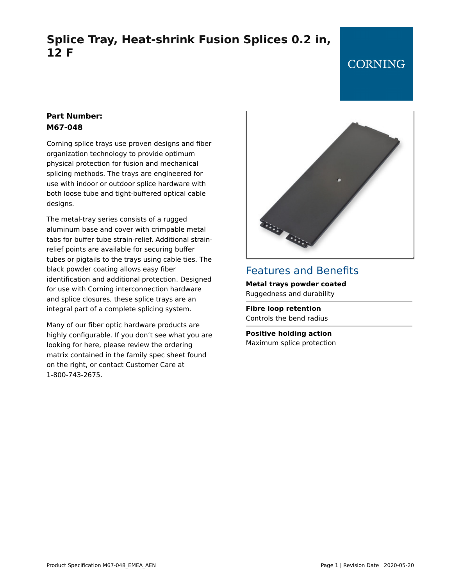# **Splice Tray, Heat-shrink Fusion Splices 0.2 in, 12 F**

## **CORNING**

## **Part Number: M67-048**

Corning splice trays use proven designs and fiber organization technology to provide optimum physical protection for fusion and mechanical splicing methods. The trays are engineered for use with indoor or outdoor splice hardware with both loose tube and tight-buffered optical cable designs.

The metal-tray series consists of a rugged aluminum base and cover with crimpable metal tabs for buffer tube strain-relief. Additional strainrelief points are available for securing buffer tubes or pigtails to the trays using cable ties. The black powder coating allows easy fiber identification and additional protection. Designed for use with Corning interconnection hardware and splice closures, these splice trays are an integral part of a complete splicing system.

Many of our fiber optic hardware products are highly configurable. If you don't see what you are looking for here, please review the ordering matrix contained in the family spec sheet found on the right, or contact Customer Care at 1-800-743-2675.



## Features and Benefits **Metal trays powder coated** Ruggedness and durability

**Fibre loop retention** Controls the bend radius

**Positive holding action** Maximum splice protection